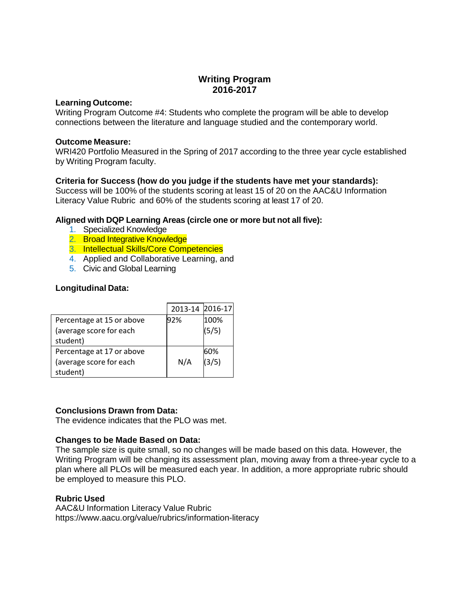# **Writing Program 2016-2017**

### **Learning Outcome:**

Writing Program Outcome #4: Students who complete the program will be able to develop connections between the literature and language studied and the contemporary world.

### **Outcome Measure:**

WRI420 Portfolio Measured in the Spring of 2017 according to the three year cycle established by Writing Program faculty.

# **Criteria for Success (how do you judge if the students have met your standards):**

Success will be 100% of the students scoring at least 15 of 20 on the AAC&U Information Literacy Value Rubric and 60% of the students scoring at least 17 of 20.

## **Aligned with DQP Learning Areas (circle one or more but not all five):**

- 1. Specialized Knowledge
- 2. Broad Integrative Knowledge
- 3. Intellectual Skills/Core Competencies
- 4. Applied and Collaborative Learning, and
- 5. Civic and Global Learning

# **Longitudinal Data:**

|                           | 2013-14 2016-17 |       |
|---------------------------|-----------------|-------|
| Percentage at 15 or above | 92%             | 100%  |
| (average score for each   |                 | (5/5) |
| student)                  |                 |       |
| Percentage at 17 or above |                 | 60%   |
| (average score for each   | N/A             | (3/5) |
| student)                  |                 |       |

### **Conclusions Drawn from Data:**

The evidence indicates that the PLO was met.

### **Changes to be Made Based on Data:**

The sample size is quite small, so no changes will be made based on this data. However, the Writing Program will be changing its assessment plan, moving away from a three-year cycle to a plan where all PLOs will be measured each year. In addition, a more appropriate rubric should be employed to measure this PLO.

### **Rubric Used**

AAC&U Information Literacy Value Rubric https://www.aacu.org/value/rubrics/information-literacy